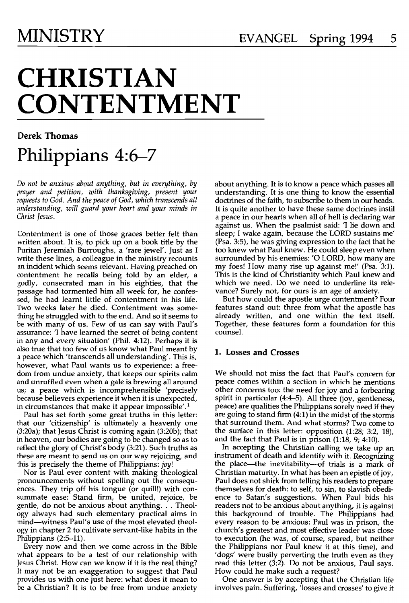# **CHRISTIAN CONTENTMENT**

**Derek Thomas Philippians 4:6-7** 

*Do not be anxious about anything, but* in *everything,* by *prayer and petition, with thanksgiving, present your requests to God. And the peace of God, which transcends all understanding, will guard your heart and your minds* in *Christ Jesus.* 

Contentment is one of those graces better felt than written about. It is, to pick up on a book title by the Puritan Jeremiah Burroughs, a 'rare jewel'. Just as I write these lines, a colleague in the ministry recounts an incident which seems relevant. Having preached on contentment he recalls being told by an elder, a godly, consecrated man in his eighties, that the passage had tormented him all week for, he confessed, he had learnt little of contentment in his life. Two weeks later he died. Contentment was something he struggled with to the end. And so it seems to be with many of us. Few of us can say with Paul's assurance: 'I have learned the secret of being content in any and every situation' (Phil. 4:12). Perhaps it is also true that too few of us know what Paul meant by a peace which 'transcends all understanding'. This is, however, what Paul wants us to experience: a freedom from undue anxiety, that keeps our spirits calm and unruffled even when a gale is brewing all around us; a peace which is incomprehensible 'precisely because believers experience it when it is unexpected, in circumstances that make it appear impossible'. <sup>1</sup>

Paul has set forth some great truths in this letter: that our 'citizenship' is ultimately a heavenly one (3:20a); that Jesus Christ is coming again (3:20b); that in heaven, our bodies are going to be changed so as to reflect the glory of Christ's body (3:21). Such truths as these are meant to send us on our way rejoicing, and this is precisely the theme of Philippians: *joy!* 

Nor is Paul ever content with making theological pronouncements without spelling out the consequences. They trip off his tongue (or quill!) with consummate ease: Stand firm, be united, rejoice, be gentle, do not be anxious about anything. . . Theology always had such elementary practical aims in mind-witness Paul's use of the most elevated theology in chapter 2 to cultivate servant-like habits in the Philippians (2:5-11).

Every now and then we come across in the Bible what appears to be a test of our relationship with Jesus Christ. How can we know if it is the real thing? It may not be an exaggeration to suggest that Paul provides us with one just here: what does it mean to be a Christian? It is to be free from undue anxiety about anything. It is to know a peace which passes all understanding. It is one thing to know the essential doctrines of the faith, to subscribe to them in our heads. It is quite another to have these same doctrines instil a peace in our hearts when all of hell is declaring war against us. When the psalmist said: 'I lie down and sleep; I wake again, because the LORD sustains me' (Psa. 3:5), he was giving expression to the fact that he too knew what Paul knew. He could sleep even when surrounded by his enemies: '0 LORD, how many are my foes! How many rise up against me!' (Psa. 3:1). This is the kind of Christianity which Paul knew and which we need. Do we need to underline its relevance? Surely not, for ours is an age of anxiety.

But how could the apostle urge contentment? Four features stand out: three from what the apostle has already written, and one within the text itself. Together, these features form a foundation for this counsel.

### **1. Losses and Crosses**

We should not miss the fact that Paul's concern for peace comes within a section in which he mentions other concerns too: the need for joy and a forbearing spirit in particular (4:4-5). All three (joy, gentleness, peace) are qualities the Philippians sorely need if they are going to stand firm (4:1) in the midst of the storms that surround them. And what storms? Two come to the surface in this letter: opposition (1:28; 3:2, 18), and the fact that Paul is in prison (1:18, 9; 4:10).

In accepting the Christian calling we take up an instrument of death and identify with it. Recognizing the place-the inevitability-of trials is a mark of Christian maturity. In what has been an epistle of joy, Paul does not shirk from telling his readers to prepare themselves for death: to self, to sin, to slavish obedience to Satan's suggestions. When Paul bids his readers not to be anxious about anything, it is against this background of trouble. The Philippians had every reason to be anxious: Paul was in prison, the church's greatest and most effective leader was close to execution (he was, of course, spared, but neither the Philippians nor Paul knew it at this time), and 'dogs' were busily perverting the truth even as they read this letter (3:2). Do not be anxious, Paul says. How could he make such a request?

One answer is by accepting that the Christian life involves pain. Suffering, 'losses and crosses' to give it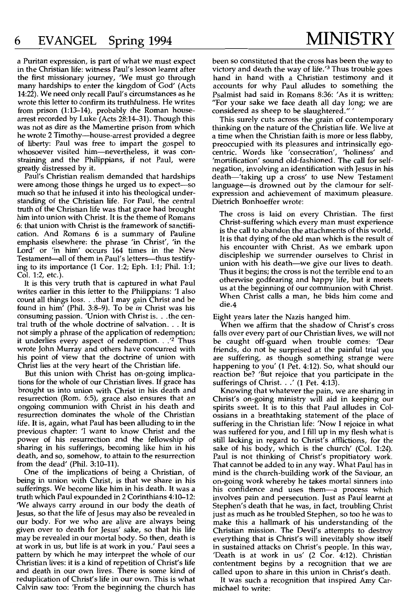a Puritan expression, is part of what we must expect in the Christian life: witness Paul's lesson learnt after the first missionary journey, 'We must go through many hardships to enter the kingdom of God' (Acts 14:22). We need only recall Paul's circumstances as he wrote this letter to confirm its truthfulness. He writes from prison (1:13-14), probably the Roman housearrest recorded by Luke (Acts 28:14-31). Though this was not as dire as the Mamertine prison from which he wrote 2 Timothy-house-arrest provided a degree of liberty: Paul was free to impart the gospel to whosoever visited him-nevertheless, it was constraining and the Philippians, if not Paul, were greatly distressed by it.

Paul's Christian realism demanded that hardships were among those things he urged us to expect-so much so that he infused it into his theological understanding of the Christian life. For Paul, the central truth of the Christian life was that grace had brought him into union with Christ. It is the theme of Romans 6: that union with Christ is the framework of sanctification. And Romans 6 is a summary of Pauline emphasis elsewhere: the phrase 'in Christ', 'in the Lord' or 'in him' occurs 164 times in the New Testament-all of them in Paul's letters-thus testifying to its importance (1 Cor. 1:2; Eph. 1:1; Phil. 1:1; Col. 1:2, etc.).

It is this very truth that is captured in what Paul writes earlier in this letter to the Philippians: 'I also count all things loss ... that I may gain Christ and be found in him' (Phil. 3:8-9). To be *in* Christ was his consuming passion. 'Union with Christ is ... the central truth of the whole doctrine of salvation ... It is not simply a phrase of the application of redemption; it underlies every aspect of redemption. . .<sup>'2</sup> Thus wrote John Murray and others have concurred with his point of view that the doctrine of union with Christ lies at the very heart of the Christian life.

But this union with Christ has on-going implications for the whole of our Christian lives. If grace has brought us into union with Christ in his death and resurrection (Rom. 6:5), grace also ensures that an ongoing communion with Christ in his death and resurrection dominates the whole of the Christian life. It is, again, what Paul has been alluding to in the previous chapter: 'I want to know Christ and the power of his resurrection and the fellowship of sharing in his sufferings, becoming like him in his death, and so, somehow, to attain to the resurrection from the dead' (Phil. 3:10-11).

One of the implications of being a Christian, of being in union with Christ, is that we share in his sufferings. We become like him in his death. It was a truth which Paul expounded in 2 Corinthians 4:10-12: 'We always carry around in our body the death of Jesus, so that the life of Jesus may also be revealed in our body. For we who are alive are always being given over to death for Jesus' sake, so that his life may be revealed in our mortal body. So then, death is at work in us, but life is at work in you.' Paul sees a pattern by which he may interpret the whole of our Christian lives: it is a kind of repetition of Christ's life and death in our own lives. There is some kind of reduplication of Christ's life in our own. This is what Calvin saw too: 'From the beginning the church has

been so constituted that the cross has been the way to victory and death the way of life.<sup> $3$ </sup> Thus trouble goes hand in hand with a Christian testimony and it accounts for why Paul alludes to something the Psalmist had said in Romans 8:36: 'As it is written: "For your sake we face death all day long; we are considered as sheep to be slaughtered."

This surely cuts across the grain of contemporary thinking on the nature of the Christian life. We live at a time when the Christian faith is more or less flabby, preoccupied with its pleasures and intrinsically egocentric. Words like 'consecration', 'holiness' and 'mortification' sound old-fashioned. The call for selfnegation, involving an identification with Jesus in his death-'taking up a cross' to use New Testament language-is drowned out by the clamour for selfexpression and achievement of maximum pleasure. Dietrich Bonhoeffer wrote:

The cross is laid on every Christian. The first Christ-suffering which every man must experience is the call to abandon the attachments of this world. It is that dying of the old man which is the result of his encounter with Christ. As we embark upon discipleship we surrender ourselves to Christ in union with his death—we give our lives to death. Thus it begins; the cross is not the terrible end to an otherwise godfearing and happy life, but it meets us at the beginning of our communion with Christ. When Christ calls a man, he bids him come and die.4

Eight years later the Nazis hanged him.

When we affirm that the shadow of Christ's cross falls over every part of our Christian lives, we will not be caught off-guard when trouble comes: 'Dear friends, do not be surprised at the painful trial you are suffering, as though something strange were happening to you' (1 Pet. 4:12). So, what should our reaction be? 'But rejoice that you participate in the sufferings of Christ. . .' (1 Pet. 4:13).

Knowing that whatever the pain, we are sharing in Christ's on-going ministry will aid in keeping our spirits sweet. It is to this that Paul alludes in Colossians in a breathtaking statement of the place of suffering in the Christian life: 'Now I rejoice in what was suffered for you, and I fill up in my flesh what is still lacking in regard to Christ's afflictions, for the sake of his body, which is the church' (Col. 1:24). Paul is not thinking of Christ's propitiatory work. That cannot be added to in any way. What Paul has in mind is the church-building work of the Saviour, an on-going work whereby he takes mortal sinners into his confidence and uses them-a process which involves pain and persecution. Just as Paul learnt at Stephen's death that he was, in fact, troubling Christ just as much as he troubled Stephen, so too he was to make this a hallmark of his understanding of the Christian mission. The Devil's attempts to destroy everything that is Christ's will inevitably show itself in sustained attacks on Christ's people. In this way, 'Death is at work in us' (2 Cor. 4:12). Christian contentment begins by a recognition that we are called upon to share in this union in Christ's death.

It was such a recognition that inspired Amy Carmichael to write: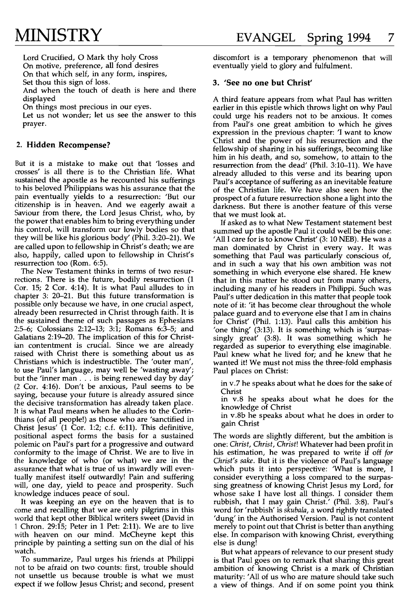Lord Crucified, 0 Mark thy holy Cross On motive, preference, all fond desires

On that which self, in any form, inspires,

Set thou this sign of loss.

And when the touch of death is here and there displayed

On things most precious in our eyes.

Let us not wonder; let us see the answer to this prayer.

## 2. **Hidden Recompense?**

But it is a mistake to make out that 'losses and crosses' is all there is to the Christian life. What sustained the apostle as he recounted his sufferings to his beloved Philippians was his assurance that the pain eventually yields to a resurrection: 'But our citizenship is in heaven. And we eagerly await a Saviour from there, the Lord Jesus Christ, who, by the power that enables him to bring everything under his control, will transform our lowly bodies so that they will be like his glorious body' (Phil. 3:20-21). We are called upon to fellowship in Christ's death; we are also, happily, called upon to fellowship in Christ's resurrection too (Rom. 6:5).

The New Testament thinks in terms of two resurrections. There is the future, bodily resurrection (1 Cor. 15; 2 Cor. 4:14). It is what Paul alludes to in chapter 3:  $20-21$ . But this future transformation is possible only because we have, in one crucial aspect, already been resurrected in Christ through faith. It is the sustained theme of such passages as Ephesians 2:5-6; Colossians 2:12-13; 3:1; Romans 6:3-5; and Galatians 2:19-20. The implication of this for Christian contentment is crucial. Since we are already raised with Christ there is something about us as Christians which is indestructible. The 'outer man', to use Paul's language, may well be 'wasting away'; but the 'inner man . . . is being renewed day by day' (2 Cor. 4:16). Don't be anxious, Paul seems to be saying, because your future is already assured since the decisive transformation has already taken place. It is what Paul means when he alludes to the Corinthians (of all people!) as those who are 'sanctified in Christ Jesus' (1 Cor. 1:2; c.f. 6:11). This definitive, positional aspect forms the basis for a sustained polemic on Paul's part for a progressive and outward conformity to the image of Christ. We are to live in the knowledge of who (or what) we are in the assurance that what is true of us inwardly will eventually manifest itself outwardly! Pain and suffering will, one day, yield to peace and prosperity. Such knowledge induces peace of soul.

It was keeping an eye on the heaven that is to come and recalling that we are only pilgrims in this world that kept other Biblical writers sweet (David in 1 Chron. 29:15; Peter in 1 Pet: 2:11). We are to live with heaven on our mind. McCheyne kept this principle by painting a setting sun on the dial of his watch.

To summarize, Paul urges his friends at Philippi not to be afraid on two counts: first, trouble should not unsettle us because trouble is what we must expect if we follow Jesus Christ; and second, present discomfort is a temporary phenomenon that will eventually yield to glory and fulfulment.

### **3. 'See no one but Christ'**

A third feature appears from what Paul has written earlier in this epistle which throws light on why Paul could urge his readers not to be anxious. It comes from Paul's one great ambition to which he gives expression in the previous chapter: 'I want to know Christ and the power of his resurrection and the fellowship of sharing in his sufferings, becoming like him in his death, and so, somehow, to attain to the resurrection from the dead' (Phil. 3:10-11). We have already alluded to this verse and its bearing upon Paul's acceptance of suffering as an inevitable feature of the Christian life. We have also seen how the prospect of a future resurrection shone a light into the darkness. But there is another feature of this verse that we must look at.

If asked as to what New Testament statement best summed up the apostle Paul it could well be this one: 'All I care for is to know Christ'  $(3: 10$  NEB). He was a man dominated by Christ in every way. It was something that Paul was particularly conscious of, and in such a way that his own ambition was not something in which everyone else shared. He knew that in this matter he stood out from many others, including many of his readers in Philippi. Such was Paul's utter dedication in this matter that people took note of it: 'it has become clear throughout the whole palace guard and to everyone else that I am in chains for Christ' (Phil. 1:13). Paul calls this ambition his 'one thing' (3:13). It is something which is 'surpassingly great' (3:8). It was something which he regarded as superior to everything else imaginable. Paul knew what he lived for; and he knew that he wanted it! We must not miss the three-fold emphasis Paul places on Christ:

in v.7 he speaks about what he does for the sake of Christ

in v.8 he speaks about what he does for the knowledge of Christ

in v.8b he speaks about what he does in order to gain Christ

The words are slightly different, but the ambition is one: *Christ, Christ, Christ!* Whatever had been profit in his estimation, he was prepared to write if off *for Christ's sake.* But it is the violence of Paul's language which puts it into perspective: 'What is more, I consider everything a loss compared to the surpassing greatness of knowing Christ Jesus my Lord, for whose sake I have lost all things. I consider them rubbish, that I may gain Christ.' (Phil. 3:8). Paul's word for 'rubbish' is *skubala,* a word rightly translated 'dung' in the Authorised Version. Paul is not content merely to point out that Christ is better than anything else. In comparison with knowing Christ, everything else is dung!

But what appears of relevance to our present study is that Paul goes on to remark that sharing this great ambition of knowing Christ is a mark of Christian maturity: 'All of us who are mature should take such a view of things. And if on some point you think